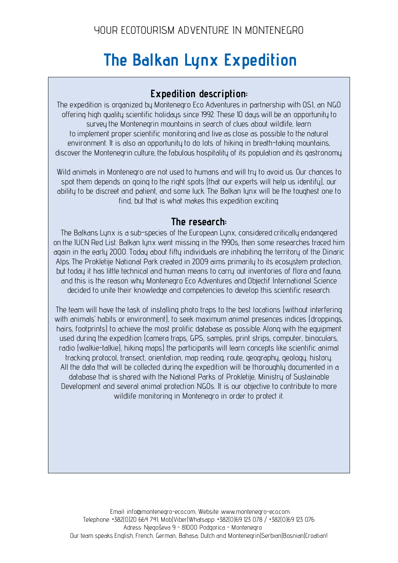# **The Balkan Lynx Expedition**

# **Expedition description:**

The expedition is organized by Montenegro Eco Adventures in partnership with OSI, an NGO offering high quality scientific holidays since 1992. These 10 days will be an opportunity to survey the Montenegrin mountains in search of clues about wildlife, learn to implement proper scientific monitoring and live as close as possible to the natural environment. It is also an opportunity to do lots of hiking in breath-taking mountains, discover the Montenegrin culture, the fabulous hospitality of its population and its gastronomy.

Wild animals in Montenegro are not used to humans and will try to avoid us. Our chances to spot them depends on going to the right spots (that our experts will help us identify), our ability to be discreet and patient, and some luck. The Balkan lynx will be the toughest one to find, but that is what makes this expedition exciting.

## **The research:**

The Balkans Lynx is a sub-species of the European Lynx, considered critically endangered on the IUCN Red List. Balkan lynx went missing in the 1990s, then some researches traced him again in the early 2000. Today about fifty individuals are inhabiting the territory of the Dinaric Alps. The Prokletije National Park created in 2009 aims primarily to its ecosystem protection, but today it has little technical and human means to carry out inventories of flora and fauna, and this is the reason why Montenegro Eco Adventures and Objectif International Science decided to unite their knowledge and competencies to develop this scientific research.

The team will have the task of installing photo traps to the best locations (without interfering with animals' habits or environment), to seek maximum animal presences indices (droppings, hairs, footprints) to achieve the most prolific database as possible. Along with the equipment used during the expedition (camera traps, GPS, samples, print strips, computer, binoculars, radio (walkie-talkie), hiking maps) the participants will learn concepts like scientific animal tracking protocol, transect, orientation, map reading, route, geography, geology, history. All the data that will be collected during the expedition will be thoroughly documented in a database that is shared with the National Parks of Prokletije, Ministry of Sustainable Development and several animal protection NGOs. It is our objective to contribute to more wildlife monitoring in Montenegro in order to protect it.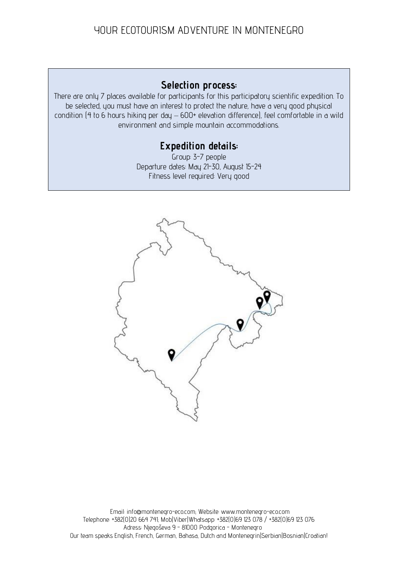## **Selection process:**

There are only 7 places available for participants for this participatory scientific expedition. To be selected, you must have an interest to protect the nature, have a very good physical condition (4 to 6 hours hiking per day – 600+ elevation difference), feel comfortable in a wild environment and simple mountain accommodations.

# **Expedition details:**

Group: 3-7 people Departure dates: May 21-30, August 15-24 Fitness level required: Very good

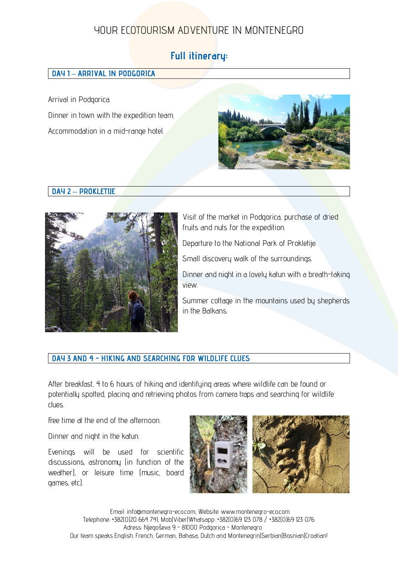## **Full itinerary:**

#### **DAY 1 – ARRIVAL IN PODGORICA**

Arrival in Podgorica. Dinner in town with the expedition team. Accommodation in a mid-range hotel.



#### **DAY 2 – PROKLETIJE**



Visit of the market in Podgorica, purchase of dried fruits and nuts for the expedition.

Departure to the National Park of Prokletije.

Small discovery walk of the surroundings.

Dinner and night in a lovely katun with a breath-taking view.

Summer cottage in the mountains used by shepherds in the Balkans.

#### **DAY 3 AND 4 - HIKING AND SEARCHING FOR WILDLIFE CLUES**

After breakfast, 4 to 6 hours of hiking and identifying areas where wildlife can be found or potentially spotted, placing and retrieving photos from camera traps and searching for wildlife clues.

Free time at the end of the afternoon.

Dinner and night in the katun.

Evenings will be used for scientific discussions, astronomy (in function of the weather), or leisure time (music, board games, etc).

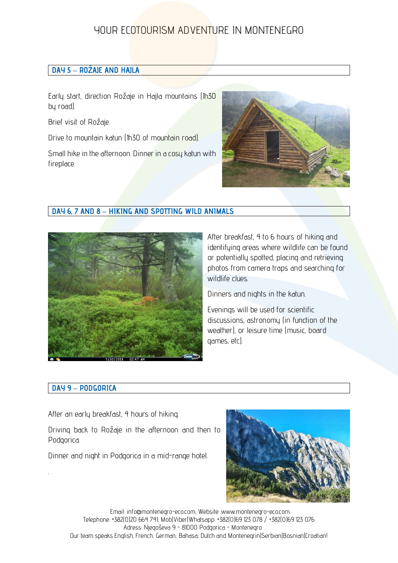#### **DAY 5 – ROŽAJE AND HAJLA**

Early start, direction Rožaje in Hajla mountains (1h30 by road).

Brief visit of Rožaje.

Drive to mountain katun (1h30 of mountain road).

Small hike in the afternoon. Dinner in a cosy katun with fireplace.



## **DAY 6, 7 AND 8 – HIKING AND SPOTTING WILD ANIMALS**



After breakfast, 4 to 6 hours of hiking and identifying areas where wildlife can be found or potentially spotted, placing and retrieving photos from camera traps and searching for wildlife clues.

Dinners and nights in the katun.

Evenings will be used for scientific discussions, astronomy (in function of the weather), or leisure time (music, board games, etc).

#### **DAY 9 – PODGORICA**

.

After an early breakfast, 4 hours of hiking.

Driving back to Rožaje in the afternoon and then to Podgorica.

Dinner and night in Podgorica in a mid-range hotel.

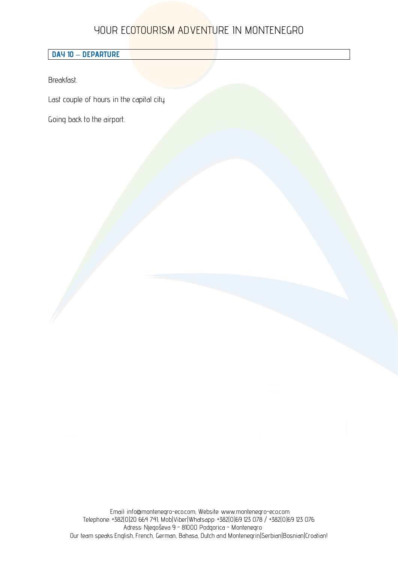#### **DAY 10 – DEPARTURE**

Breakfast.

Last couple of hours in the capital city.

Going back to the airport.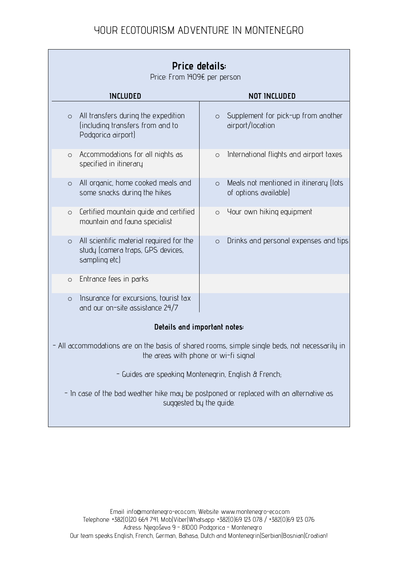| Price details:<br>Price: From 1409€ per person                                                                                      |                                                                            |
|-------------------------------------------------------------------------------------------------------------------------------------|----------------------------------------------------------------------------|
| <b>INCLUDED</b>                                                                                                                     | <b>NOT INCLUDED</b>                                                        |
| All transfers during the expedition<br>$\circ$<br>(including transfers from and to<br>Podgorica airport)                            | Supplement for pick-up from another<br>$\circ$<br>airport/location         |
| Accommodations for all nights as<br>$\circ$<br>specified in itinerary                                                               | International flights and airport taxes<br>$\circ$                         |
| All organic, home cooked meals and<br>$\circ$<br>some snacks during the hikes                                                       | Meals not mentioned in itinerary (lots<br>$\circ$<br>of options available) |
| Certified mountain quide and certified<br>$\circ$<br>mountain and fauna specialist                                                  | Your own hiking equipment<br>$\circ$                                       |
| All scientific material required for the<br>$\circ$<br>study (camera traps, GPS devices,<br>sampling etc)                           | Drinks and personal expenses and tips<br>$\circ$                           |
| Entrance fees in parks<br>$\circ$                                                                                                   |                                                                            |
| Insurance for excursions, tourist tax<br>$\circ$<br>and our on-site assistance 24/7                                                 |                                                                            |
| Details and important notes:                                                                                                        |                                                                            |
| All accommodations are on the basis of shared rooms, simple single beds, not necessarily in<br>the areas with phone or wi-fi signal |                                                                            |
| - Guides are speaking Montenegrin, English & French,                                                                                |                                                                            |
| - In case of the bad weather hike may be postponed or replaced with an alternative as<br>suggested by the guide.                    |                                                                            |